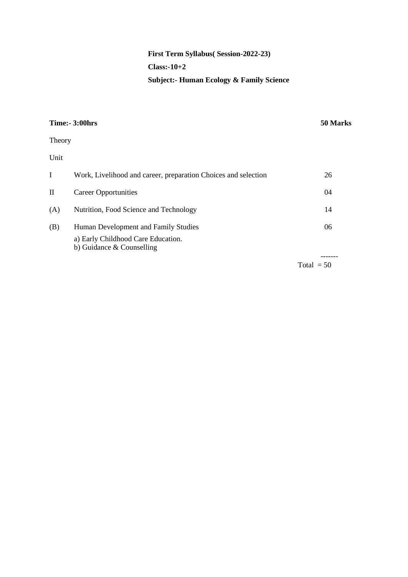# **First Term Syllabus( Session-2022-23) Class:-10+2 Subject:- Human Ecology & Family Science**

|                                                                | 50 Marks                                                              |
|----------------------------------------------------------------|-----------------------------------------------------------------------|
|                                                                |                                                                       |
|                                                                |                                                                       |
| Work, Livelihood and career, preparation Choices and selection | 26                                                                    |
| <b>Career Opportunities</b>                                    | 04                                                                    |
| Nutrition, Food Science and Technology                         | 14                                                                    |
| Human Development and Family Studies                           | 06                                                                    |
| b) Guidance & Counselling                                      |                                                                       |
|                                                                | Total $= 50$                                                          |
|                                                                | <b>Time:- 3:00hrs</b><br>Theory<br>a) Early Childhood Care Education. |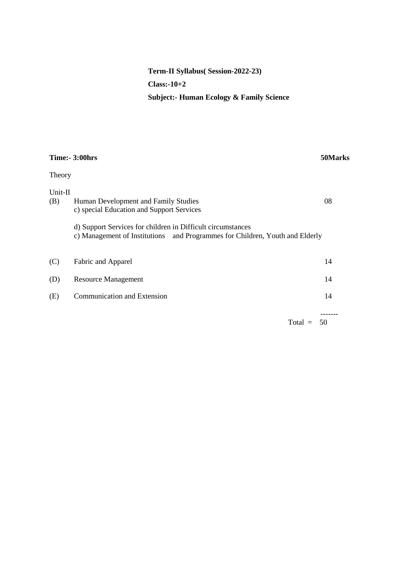# **Term-II Syllabus( Session-2022-23) Class:-10+2 Subject:- Human Ecology & Family Science**

|                | <b>Time:- 3:00hrs</b>                                                                                                                                                                                                            | 50Marks                    |
|----------------|----------------------------------------------------------------------------------------------------------------------------------------------------------------------------------------------------------------------------------|----------------------------|
| Theory         |                                                                                                                                                                                                                                  |                            |
| Unit-II<br>(B) | Human Development and Family Studies<br>c) special Education and Support Services<br>d) Support Services for children in Difficult circumstances<br>c) Management of Institutions and Programmes for Children, Youth and Elderly | 08                         |
| (C)            | Fabric and Apparel                                                                                                                                                                                                               | 14                         |
| (D)            | <b>Resource Management</b>                                                                                                                                                                                                       | 14                         |
| (E)            | <b>Communication and Extension</b>                                                                                                                                                                                               | 14                         |
|                |                                                                                                                                                                                                                                  | -------<br>$Total =$<br>50 |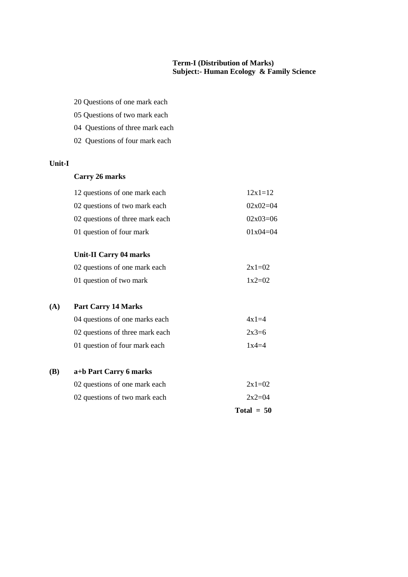#### **Term-I (Distribution of Marks) Subject:- Human Ecology & Family Science**

- 20 Questions of one mark each
- 05 Questions of two mark each
- 04 Questions of three mark each
- 02 Questions of four mark each

## **Unit-I**

#### **Carry 26 marks**

| 12 questions of one mark each   | $12x1=12$  |
|---------------------------------|------------|
| 02 questions of two mark each   | $02x02=04$ |
| 02 questions of three mark each | $02x03=06$ |
| 01 question of four mark        | $01x04=04$ |

#### **Unit-II Carry 04 marks**

| 02 questions of one mark each | $2x1=02$ |
|-------------------------------|----------|
| 01 question of two mark       | $1x2=02$ |

#### **(A) Part Carry 14 Marks**

| 04 questions of one marks each  | $4x1=4$ |
|---------------------------------|---------|
| 02 questions of three mark each | $2x3=6$ |
| 01 question of four mark each   | $1x4=4$ |

#### **(B) a+b Part Carry 6 marks**

| 02 questions of one mark each | $2x1=02$ |
|-------------------------------|----------|
|                               |          |

02 questions of two mark each  $2x2=04$ 

**Total = 50**